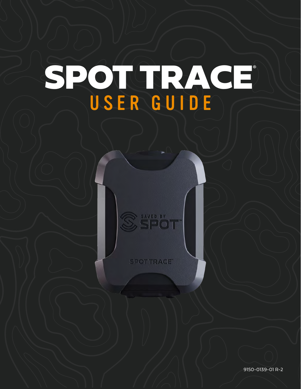# SPOT TRACE® USER GUIDE



**SPOTTRACE** 

9150-0139-01 R-2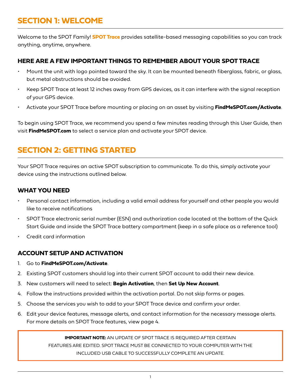# **SECTION 1: WELCOME**

Welcome to the SPOT Family! **SPOT Trace** provides satellite-based messaging capabilities so you can track anything, anytime, anywhere.

### **HERE ARE A FEW IMPORTANT THINGS TO REMEMBER ABOUT YOUR SPOT TRACE**

- Mount the unit with logo pointed toward the sky. It can be mounted beneath fiberglass, fabric, or glass, but metal obstructions should be avoided.
- Keep SPOT Trace at least 12 inches away from GPS devices, as it can interfere with the signal reception of your GPS device.
- Activate your SPOT Trace before mounting or placing on an asset by visiting **FindMeSPOT.com/Activate**.

To begin using SPOT Trace, we recommend you spend a few minutes reading through this User Guide, then visit **FindMeSPOT.com** to select a service plan and activate your SPOT device.

# **SECTION 2: GETTING STARTED**

Your SPOT Trace requires an active SPOT subscription to communicate. To do this, simply activate your device using the instructions outlined below.

### **WHAT YOU NEED**

- Personal contact information, including a valid email address for yourself and other people you would like to receive notifications
- SPOT Trace electronic serial number (ESN) and authorization code located at the bottom of the Quick Start Guide and inside the SPOT Trace battery compartment (keep in a safe place as a reference tool)
- Credit card information

### **ACCOUNT SETUP AND ACTIVATION**

- 1. Go to **FindMeSPOT.com/Activate**.
- 2. Existing SPOT customers should log into their current SPOT account to add their new device.
- 3. New customers will need to select: **Begin Activation**, then **Set Up New Account**.
- 4. Follow the instructions provided within the activation portal. Do not skip forms or pages.
- 5. Choose the services you wish to add to your SPOT Trace device and confirm your order.
- 6. Edit your device features, message alerts, and contact information for the necessary message alerts. For more details on SPOT Trace features, view page 4.

**IMPORTANT NOTE:** AN UPDATE OF SPOT TRACE IS REQUIRED AFTER CERTAIN FEATURES ARE EDITED. SPOT TRACE MUST BE CONNECTED TO YOUR COMPUTER WITH THE INCLUDED USB CABLE TO SUCCESSFULLY COMPLETE AN UPDATE.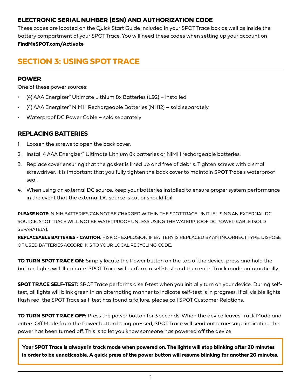### **ELECTRONIC SERIAL NUMBER (ESN) AND AUTHORIZATION CODE**

These codes are located on the Quick Start Guide included in your SPOT Trace box as well as inside the battery compartment of your SPOT Trace. You will need these codes when setting up your account on **FindMeSPOT.com/Activate**.

# **SECTION 3: USING SPOT TRACE**

### **POWER**

One of these power sources:

- (4) AAA Energizer® Ultimate Lithium 8x Batteries (L92) installed
- (4) AAA Energizer® NiMH Rechargeable Batteries (NH12) sold separately
- Waterproof DC Power Cable sold separately

### **REPLACING BATTERIES**

- 1. Loosen the screws to open the back cover.
- 2. Install 4 AAA Energizer<sup>®</sup> Ultimate Lithium 8x batteries or NiMH rechargeable batteries.
- 3. Replace cover ensuring that the gasket is lined up and free of debris. Tighten screws with a small screwdriver. It is important that you fully tighten the back cover to maintain SPOT Trace's waterproof seal.
- 4. When using an external DC source, keep your batteries installed to ensure proper system performance in the event that the external DC source is cut or should fail.

**PLEASE NOTE:** NIMH BATTERIES CANNOT BE CHARGED WITHIN THE SPOT TRACE UNIT. IF USING AN EXTERNAL DC SOURCE, SPOT TRACE WILL NOT BE WATERPROOF UNLESS USING THE WATERPROOF DC POWER CABLE (SOLD SEPARATELY).

**REPLACEABLE BATTERIES - CAUTION:** RISK OF EXPLOSION IF BATTERY IS REPLACED BY AN INCORRECT TYPE. DISPOSE OF USED BATTERIES ACCORDING TO YOUR LOCAL RECYCLING CODE.

**TO TURN SPOT TRACE ON:** Simply locate the Power button on the top of the device, press and hold the button; lights will illuminate. SPOT Trace will perform a self-test and then enter Track mode automatically.

**SPOT TRACE SELF-TEST:** SPOT Trace performs a self-test when you initially turn on your device. During selftest, all lights will blink green in an alternating manner to indicate self-test is in progress. If all visible lights flash red, the SPOT Trace self-test has found a failure, please call SPOT Customer Relations.

**TO TURN SPOT TRACE OFF:** Press the power button for 3 seconds. When the device leaves Track Mode and enters Off Mode from the Power button being pressed, SPOT Trace will send out a message indicating the power has been turned off. This is to let you know someone has powered off the device.

**Your SPOT Trace is always in track mode when powered on. The lights will stop blinking after 20 minutes in order to be unnoticeable. A quick press of the power button will resume blinking for another 20 minutes.**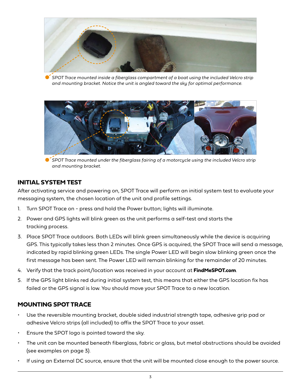

*SPOT Trace mounted inside a fiberglass compartment of a boat using the included Velcro strip and mounting bracket. Notice the unit is angled toward the sky for optimal performance.*



*SPOT Trace mounted under the fiberglass fairing of a motorcycle using the included Velcro strip and mounting bracket.*

### **INITIAL SYSTEM TEST**

After activating service and powering on, SPOT Trace will perform an initial system test to evaluate your messaging system, the chosen location of the unit and profile settings.

- 1. Turn SPOT Trace on press and hold the Power button; lights will illuminate.
- 2. Power and GPS lights will blink green as the unit performs a self-test and starts the tracking process.
- 3. Place SPOT Trace outdoors. Both LEDs will blink green simultaneously while the device is acquiring GPS. This typically takes less than 2 minutes. Once GPS is acquired, the SPOT Trace will send a message, indicated by rapid blinking green LEDs. The single Power LED will begin slow blinking green once the first message has been sent. The Power LED will remain blinking for the remainder of 20 minutes.
- 4. Verify that the track point/location was received in your account at **FindMeSPOT.com**.
- 5. If the GPS light blinks red during initial system test, this means that either the GPS location fix has failed or the GPS signal is low. You should move your SPOT Trace to a new location.

### **MOUNTING SPOT TRACE**

- Use the reversible mounting bracket, double sided industrial strength tape, adhesive grip pad or adhesive Velcro strips (all included) to affix the SPOT Trace to your asset.
- Ensure the SPOT logo is pointed toward the sky.
- The unit can be mounted beneath fiberglass, fabric or glass, but metal obstructions should be avoided (see examples on page 3).
- If using an External DC source, ensure that the unit will be mounted close enough to the power source.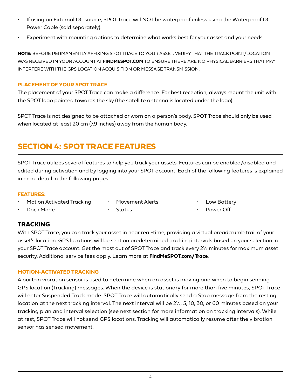- If using an External DC source, SPOT Trace will NOT be waterproof unless using the Waterproof DC Power Cable (sold separately).
- Experiment with mounting options to determine what works best for your asset and your needs.

**NOTE:** BEFORE PERMANENTLY AFFIXING SPOT TRACE TO YOUR ASSET, VERIFY THAT THE TRACK POINT/LOCATION WAS RECEIVED IN YOUR ACCOUNT AT **FINDMESPOT.COM** TO ENSURE THERE ARE NO PHYSICAL BARRIERS THAT MAY INTERFERE WITH THE GPS LOCATION ACQUISITION OR MESSAGE TRANSMISSION.

### **PLACEMENT OF YOUR SPOT TRACE**

The placement of your SPOT Trace can make a difference. For best reception, always mount the unit with the SPOT logo pointed towards the sky (the satellite antenna is located under the logo).

SPOT Trace is not designed to be attached or worn on a person's body. SPOT Trace should only be used when located at least 20 cm (7.9 inches) away from the human body.

# **SECTION 4: SPOT TRACE FEATURES**

SPOT Trace utilizes several features to help you track your assets. Features can be enabled/disabled and edited during activation and by logging into your SPOT account. Each of the following features is explained in more detail in the following pages.

#### **FEATURES:**

- Motion Activated Tracking
- Movement Alerts
- Low Battery

• Dock Mode

**Status** 

Power Off

# **TRACKING**

With SPOT Trace, you can track your asset in near real-time, providing a virtual breadcrumb trail of your asset's location. GPS locations will be sent on predetermined tracking intervals based on your selection in your SPOT Trace account. Get the most out of SPOT Trace and track every 2½ minutes for maximum asset security. Additional service fees apply. Learn more at **FindMeSPOT.com/Trace**.

### **MOTION-ACTIVATED TRACKING**

A built-in vibration sensor is used to determine when an asset is moving and when to begin sending GPS location (Tracking) messages. When the device is stationary for more than five minutes, SPOT Trace will enter Suspended Track mode. SPOT Trace will automatically send a Stop message from the resting location at the next tracking interval. The next interval will be 2½, 5, 10, 30, or 60 minutes based on your tracking plan and interval selection (see next section for more information on tracking intervals). While at rest, SPOT Trace will not send GPS locations. Tracking will automatically resume after the vibration sensor has sensed movement.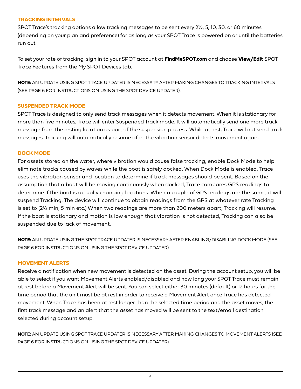#### **TRACKING INTERVALS**

SPOT Trace's tracking options allow tracking messages to be sent every 2½, 5, 10, 30, or 60 minutes (depending on your plan and preference) for as long as your SPOT Trace is powered on or until the batteries run out.

To set your rate of tracking, sign in to your SPOT account at **FindMeSPOT.com** and choose **View/Edit** SPOT Trace Features from the My SPOT Devices tab.

**NOTE:** AN UPDATE USING SPOT TRACE UPDATER IS NECESSARY AFTER MAKING CHANGES TO TRACKING INTERVALS (SEE PAGE 6 FOR INSTRUCTIONS ON USING THE SPOT DEVICE UPDATER).

#### **SUSPENDED TRACK MODE**

SPOT Trace is designed to only send track messages when it detects movement. When it is stationary for more than five minutes, Trace will enter Suspended Track mode. It will automatically send one more track message from the resting location as part of the suspension process. While at rest, Trace will not send track messages. Tracking will automatically resume after the vibration sensor detects movement again.

#### **DOCK MODE**

For assets stored on the water, where vibration would cause false tracking, enable Dock Mode to help eliminate tracks caused by waves while the boat is safely docked. When Dock Mode is enabled, Trace uses the vibration sensor and location to determine if track messages should be sent. Based on the assumption that a boat will be moving continuously when docked, Trace compares GPS readings to determine if the boat is actually changing locations. When a couple of GPS readings are the same, it will suspend Tracking. The device will continue to obtain readings from the GPS at whatever rate Tracking is set to (2½ min, 5 min etc.) When two readings are more than 200 meters apart, Tracking will resume. If the boat is stationary and motion is low enough that vibration is not detected, Tracking can also be suspended due to lack of movement.

**NOTE:** AN UPDATE USING THE SPOT TRACE UPDATER IS NECESSARY AFTER ENABLING/DISABLING DOCK MODE (SEE PAGE 6 FOR INSTRUCTIONS ON USING THE SPOT DEVICE UPDATER).

#### **MOVEMENT ALERTS**

Receive a notification when new movement is detected on the asset. During the account setup, you will be able to select if you want Movement Alerts enabled/disabled and how long your SPOT Trace must remain at rest before a Movement Alert will be sent. You can select either 30 minutes (default) or 12 hours for the time period that the unit must be at rest in order to receive a Movement Alert once Trace has detected movement. When Trace has been at rest longer than the selected time period and the asset moves, the first track message and an alert that the asset has moved will be sent to the text/email destination selected during account setup.

**NOTE:** AN UPDATE USING SPOT TRACE UPDATER IS NECESSARY AFTER MAKING CHANGES TO MOVEMENT ALERTS (SEE PAGE 6 FOR INSTRUCTIONS ON USING THE SPOT DEVICE UPDATER).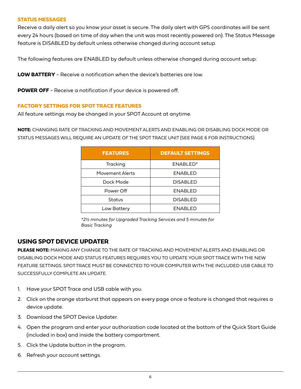#### **STATUS MESSAGES**

Receive a daily alert so you know your asset is secure. The daily alert with GPS coordinates will be sent every 24 hours (based on time of day when the unit was most recently powered on). The Status Message feature is DISABLED by default unless otherwise changed during account setup.

The following features are ENABLED by default unless otherwise changed during account setup:

**LOW BATTERY** - Receive a notification when the device's batteries are low.

**POWER OFF** - Receive a notification if your device is powered off.

#### **FACTORY SETTINGS FOR SPOT TRACE FEATURES**

All feature settings may be changed in your SPOT Account at anytime.

**NOTE:** CHANGING RATE OF TRACKING AND MOVEMENT ALERTS AND ENABLING OR DISABLING DOCK MODE OR STATUS MESSAGES WILL REQUIRE AN UPDATE OF THE SPOT TRACE UNIT (SEE PAGE 6 FOR INSTRUCTIONS).

| <b>FEATURES</b> | <b>DEFAULT SETTINGS</b> |
|-----------------|-------------------------|
| Tracking        | ENABLED*                |
| Movement Alerts | <b>ENABLED</b>          |
| Dock Mode       | <b>DISABLED</b>         |
| Power Off       | <b>ENABLED</b>          |
| Status          | <b>DISABLED</b>         |
| Low Battery     | <b>ENABLED</b>          |

*\*2½ minutes for Upgraded Tracking Services and 5 minutes for Basic Tracking*

### **USING SPOT DEVICE UPDATER**

**PLEASE NOTE:** MAKING ANY CHANGE TO THE RATE OF TRACKING AND MOVEMENT ALERTS AND ENABLING OR DISABLING DOCK MODE AND STATUS FEATURES REQUIRES YOU TO UPDATE YOUR SPOT TRACE WITH THE NEW FEATURE SETTINGS. SPOT TRACE MUST BE CONNECTED TO YOUR COMPUTER WITH THE INCLUDED USB CABLE TO SUCCESSFULLY COMPLETE AN UPDATE.

- 1. Have your SPOT Trace and USB cable with you.
- 2. Click on the orange starburst that appears on every page once a feature is changed that requires a device update.
- 3. Download the SPOT Device Updater.
- 4. Open the program and enter your authorization code located at the bottom of the Quick Start Guide (included in box) and inside the battery compartment.
- 5. Click the Update button in the program.
- 6. Refresh your account settings.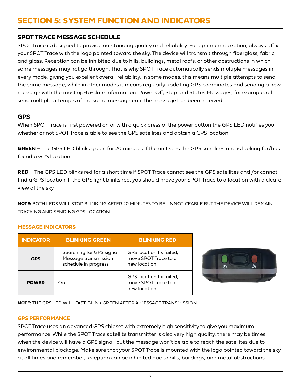# **SECTION 5: SYSTEM FUNCTION AND INDICATORS**

### **SPOT TRACE MESSAGE SCHEDULE**

SPOT Trace is designed to provide outstanding quality and reliability. For optimum reception, always affix your SPOT Trace with the logo pointed toward the sky. The device will transmit through fiberglass, fabric, and glass. Reception can be inhibited due to hills, buildings, metal roofs, or other obstructions in which some messages may not go through. That is why SPOT Trace automatically sends multiple messages in every mode, giving you excellent overall reliability. In some modes, this means multiple attempts to send the same message, while in other modes it means regularly updating GPS coordinates and sending a new message with the most up-to-date information. Power Off, Stop and Status Messages, for example, all send multiple attempts of the same message until the message has been received.

### **GPS**

When SPOT Trace is first powered on or with a quick press of the power button the GPS LED notifies you whether or not SPOT Trace is able to see the GPS satellites and obtain a GPS location.

**GREEN** – The GPS LED blinks green for 20 minutes if the unit sees the GPS satellites and is looking for/has found a GPS location.

**RED** – The GPS LED blinks red for a short time if SPOT Trace cannot see the GPS satellites and /or cannot find a GPS location. If the GPS light blinks red, you should move your SPOT Trace to a location with a clearer view of the sky.

**NOTE:** BOTH LEDS WILL STOP BLINKING AFTER 20 MINUTES TO BE UNNOTICEABLE BUT THE DEVICE WILL REMAIN TRACKING AND SENDING GPS LOCATION.

### **MESSAGE INDICATORS**

| <b>INDICATOR</b> | <b>BLINKING GREEN</b>                                                        | <b>BLINKING RED</b>                                              |
|------------------|------------------------------------------------------------------------------|------------------------------------------------------------------|
| GPS              | · Searching for GPS signal<br>· Message transmission<br>schedule in progress | GPS location fix failed;<br>move SPOT Trace to a<br>new location |
| <b>POWER</b>     | Dn)                                                                          | GPS location fix failed;<br>move SPOT Trace to a<br>new location |



**NOTE:** THE GPS LED WILL FAST-BLINK GREEN AFTER A MESSAGE TRANSMISSION.

### **GPS PERFORMANCE**

SPOT Trace uses an advanced GPS chipset with extremely high sensitivity to give you maximum performance. While the SPOT Trace satellite transmitter is also very high quality, there may be times when the device will have a GPS signal, but the message won't be able to reach the satellites due to environmental blockage. Make sure that your SPOT Trace is mounted with the logo pointed toward the sky at all times and remember, reception can be inhibited due to hills, buildings, and metal obstructions.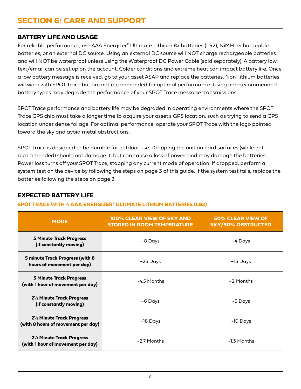# **SECTION 6: CARE AND SUPPORT**

### **BATTERY LIFE AND USAGE**

For reliable performance, use AAA Energizer® Ultimate Lithium 8x batteries (L92), NiMH rechargeable batteries, or an external DC source. Using an external DC source will NOT charge rechargeable batteries and will NOT be waterproof unless using the Waterproof DC Power Cable (sold separately). A battery low text/email can be set up on the account. Colder conditions and extreme heat can impact battery life. Once a low battery message is received, go to your asset ASAP and replace the batteries. Non-lithium batteries will work with SPOT Trace but are not recommended for optimal performance. Using non-recommended battery types may degrade the performance of your SPOT Trace message transmissions.

SPOT Trace performance and battery life may be degraded in operating environments where the SPOT Trace GPS chip must take a longer time to acquire your asset's GPS location, such as trying to send a GPS location under dense foliage. For optimal performance, operate your SPOT Trace with the logo pointed toward the sky and avoid metal obstructions.

SPOT Trace is designed to be durable for outdoor use. Dropping the unit on hard surfaces (while not recommended) should not damage it, but can cause a loss of power and may damage the batteries. Power loss turns off your SPOT Trace, stopping any current mode of operation. If dropped, perform a system test on the device by following the steps on page 3 of this guide. If the system test fails, replace the batteries following the steps on page 2.

### **EXPECTED BATTERY LIFE**

### **SPOT TRACE WITH 4 AAA ENERGIZER® ULTIMATE LITHIUM BATTERIES (L92)**

| <b>MODE</b>                                                         | 100% CLEAR VIEW OF SKY AND<br><b>STORED IN ROOM TEMPERATURE</b> | <b>50% CLEAR VIEW OF</b><br><b>SKY/50% OBSTRUCTED</b> |
|---------------------------------------------------------------------|-----------------------------------------------------------------|-------------------------------------------------------|
| <b>5 Minute Track Progress</b><br>(if constantly moving)            | $-8$ Days                                                       | ~4 Days                                               |
| 5 minute Track Progress (with 8<br>hours of movement per day)       | $\sim$ 25 Days                                                  | $\sim$ 13 Days                                        |
| <b>5 Minute Track Progress</b><br>(with 1 hour of movement per day) | $~14.5$ Months                                                  | $\sim$ 2 Months                                       |
| 2½ Minute Track Progress<br>(if constantly moving)                  | $-6$ Days                                                       | $~5$ Days                                             |
| 21/2 Minute Track Progress<br>(with 8 hours of movement per day)    | ~18 Days                                                        | $~10$ Days                                            |
| 21/2 Minute Track Progress<br>(with 1 hour of movement per day)     | $\sim$ 2.7 Months                                               | ~1.3 Months                                           |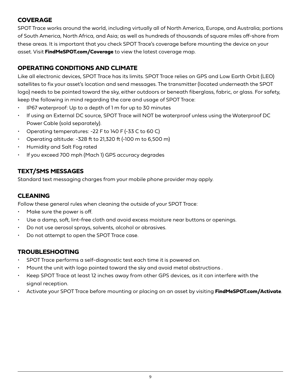## **COVERAGE**

SPOT Trace works around the world, including virtually all of North America, Europe, and Australia; portions of South America, North Africa, and Asia; as well as hundreds of thousands of square miles off-shore from these areas. It is important that you check SPOT Trace's coverage before mounting the device on your asset. Visit **FindMeSPOT.com/Coverage** to view the latest coverage map.

# **OPERATING CONDITIONS AND CLIMATE**

Like all electronic devices, SPOT Trace has its limits. SPOT Trace relies on GPS and Low Earth Orbit (LEO) satellites to fix your asset's location and send messages. The transmitter (located underneath the SPOT logo) needs to be pointed toward the sky, either outdoors or beneath fiberglass, fabric, or glass. For safety, keep the following in mind regarding the care and usage of SPOT Trace:

- IP67 waterproof: Up to a depth of 1 m for up to 30 minutes
- If using an External DC source, SPOT Trace will NOT be waterproof unless using the Waterproof DC Power Cable (sold separately).
- Operating temperatures: -22 F to 140 F (-33 C to 60 C)
- Operating altitude: -328 ft to 21,320 ft (-100 m to 6,500 m)
- Humidity and Salt Fog rated
- If you exceed 700 mph (Mach 1) GPS accuracy degrades

### **TEXT/SMS MESSAGES**

Standard text messaging charges from your mobile phone provider may apply.

### **CLEANING**

Follow these general rules when cleaning the outside of your SPOT Trace:

- Make sure the power is off.
- Use a damp, soft, lint-free cloth and avoid excess moisture near buttons or openings.
- Do not use aerosol sprays, solvents, alcohol or abrasives.
- Do not attempt to open the SPOT Trace case.

### **TROUBLESHOOTING**

- SPOT Trace performs a self-diagnostic test each time it is powered on.
- Mount the unit with logo pointed toward the sky and avoid metal obstructions .
- Keep SPOT Trace at least 12 inches away from other GPS devices, as it can interfere with the signal reception.
- Activate your SPOT Trace before mounting or placing on an asset by visiting **FindMeSPOT.com/Activate**.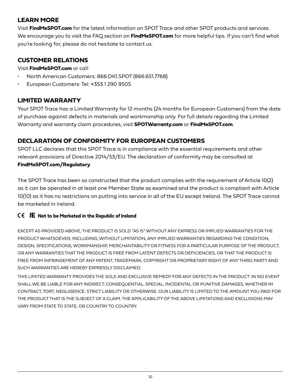# **LEARN MORE**

Visit **FindMeSPOT.com** for the latest information on SPOT Trace and other SPOT products and services. We encourage you to visit the FAQ section on **FindMeSPOT.com** for more helpful tips. If you can't find what you're looking for, please do not hesitate to contact us.

# **CUSTOMER RELATIONS**

Visit **FindMeSPOT.com** or call:

- North American Customers: 866.OK1.SPOT (866.651.7768)
- European Customers: Tel: +353 1 290 9505

# **LIMITED WARRANTY**

Your SPOT Trace has a Limited Warranty for 12 months (24 months for European Customers) from the date of purchase against defects in materials and workmanship only. For full details regarding the Limited Warranty and warranty claim procedures, visit **SPOTWarranty.com** or **FindMeSPOT.com**.

# **DECLARATION OF CONFORMITY FOR EUROPEAN CUSTOMERS**

SPOT LLC declares that this SPOT Trace is in compliance with the essential requirements and other relevant provisions of Directive 2014/53/EU. The declaration of conformity may be consulted at **FindMeSPOT.com/Regulatory**.

The SPOT Trace has been so constructed that the product complies with the requirement of Article 10(2) as it can be operated in at least one Member State as examined and the product is compliant with Article 10(10) as it has no restrictions on putting into service in all of the EU except Ireland. The SPOT Trace cannot be marketed in Ireland.

### **IE Not to be Marketed in the Republic of Ireland**

EXCEPT AS PROVIDED ABOVE, THE PRODUCT IS SOLD "AS IS" WITHOUT ANY EXPRESS OR IMPLIED WARRANTIES FOR THE PRODUCT WHATSOEVER, INCLUDING, WITHOUT LIMITATION, ANY IMPLIED WARRANTIES REGARDING THE CONDITION, DESIGN, SPECIFICATIONS, WORKMANSHIP, MERCHANTABILITY OR FITNESS FOR A PARTICULAR PURPOSE OF THE PRODUCT, OR ANY WARRANTIES THAT THE PRODUCT IS FREE FROM LATENT DEFECTS OR DEFICIENCIES, OR THAT THE PRODUCT IS FREE FROM INFRINGEMENT OF ANY PATENT, TRADEMARK, COPYRIGHT OR PROPRIETARY RIGHT OF ANY THIRD PARTY AND SUCH WARRANTIES ARE HEREBY EXPRESSLY DISCLAIMED.

THIS LIMITED WARRANTY PROVIDES THE SOLE AND EXCLUSIVE REMEDY FOR ANY DEFECTS IN THE PRODUCT. IN NO EVENT SHALL WE BE LIABLE FOR ANY INDIRECT, CONSEQUENTIAL, SPECIAL, INCIDENTAL OR PUNITIVE DAMAGES, WHETHER IN CONTRACT, TORT, NEGLIGENCE, STRICT LIABILITY OR OTHERWISE. OUR LIABILITY IS LIMITED TO THE AMOUNT YOU PAID FOR THE PRODUCT THAT IS THE SUBJECT OF A CLAIM. THE APPLICABILITY OF THE ABOVE LIMITATIONS AND EXCLUSIONS MAY VARY FROM STATE TO STATE, OR COUNTRY TO COUNTRY.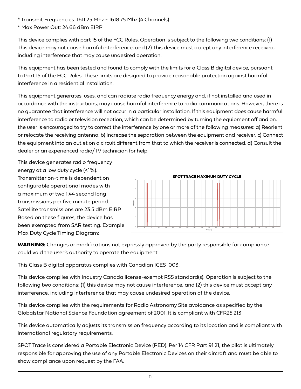\* Transmit Frequencies: 1611.25 Mhz - 1618.75 Mhz (4 Channels)

\* Max Power Out: 24.66 dBm EIRP

This device complies with part 15 of the FCC Rules. Operation is subject to the following two conditions: (1) This device may not cause harmful interference, and (2) This device must accept any interference received, including interference that may cause undesired operation.

This equipment has been tested and found to comply with the limits for a Class B digital device, pursuant to Part 15 of the FCC Rules. These limits are designed to provide reasonable protection against harmful interference in a residential installation.

This equipment generates, uses, and can radiate radio frequency energy and, if not installed and used in accordance with the instructions, may cause harmful interference to radio communications. However, there is no guarantee that interference will not occur in a particular installation. If this equipment does cause harmful interference to radio or television reception, which can be determined by turning the equipment off and on, the user is encouraged to try to correct the interference by one or more of the following measures: a) Reorient or relocate the receiving antenna. b) Increase the separation between the equipment and receiver. c) Connect the equipment into an outlet on a circuit different from that to which the receiver is connected. d) Consult the dealer or an experienced radio/TV technician for help.

This device generates radio frequency energy at a low duty cycle (<1%). Transmitter on-time is dependent on configurable operational modes with a maximum of two 1.44 second long transmissions per five minute period. Satellite transmissions are 23.5 dBm EIRP. Based on these figures, the device has been exempted from SAR testing. Example Max Duty Cycle Timing Diagram:



**WARNING:** Changes or modifications not expressly approved by the party responsible for compliance could void the user's authority to operate the equipment.

This Class B digital apparatus complies with Canadian ICES-003.

This device complies with Industry Canada license-exempt RSS standard(s). Operation is subject to the following two conditions: (1) this device may not cause interference, and (2) this device must accept any interference, including interference that may cause undesired operation of the device.

This device complies with the requirements for Radio Astronomy Site avoidance as specified by the Globalstar National Science Foundation agreement of 2001. It is compliant with CFR25.213

This device automatically adjusts its transmission frequency according to its location and is compliant with international regulatory requirements.

SPOT Trace is considered a Portable Electronic Device (PED). Per 14 CFR Part 91.21, the pilot is ultimately responsible for approving the use of any Portable Electronic Devices on their aircraft and must be able to show compliance upon request by the FAA.